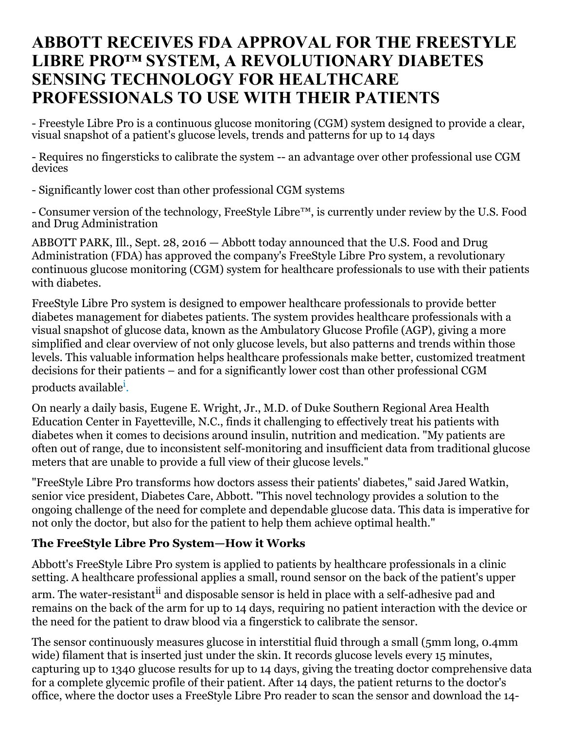# **ABBOTT RECEIVES FDA APPROVAL FOR THE FREESTYLE LIBRE PRO™ SYSTEM, A REVOLUTIONARY DIABETES SENSING TECHNOLOGY FOR HEALTHCARE PROFESSIONALS TO USE WITH THEIR PATIENTS**

- Freestyle Libre Pro is a continuous glucose monitoring (CGM) system designed to provide a clear, visual snapshot of a patient's glucose levels, trends and patterns for up to 14 days

- Requires no fingersticks to calibrate the system -- an advantage over other professional use CGM devices

- Significantly lower cost than other professional CGM systems

- Consumer version of the technology, FreeStyle Libre™, is currently under review by the U.S. Food and Drug Administration

ABBOTT PARK, Ill., Sept. 28, 2016 — Abbott today announced that the U.S. Food and Drug Administration (FDA) has approved the company's FreeStyle Libre Pro system, a revolutionary continuous glucose monitoring (CGM) system for healthcare professionals to use with their patients with diabetes.

FreeStyle Libre Pro system is designed to empower healthcare professionals to provide better diabetes management for diabetes patients. The system provides healthcare professionals with a visual snapshot of glucose data, known as the Ambulatory Glucose Profile (AGP), giving a more simplified and clear overview of not only glucose levels, but also patterns and trends within those levels. This valuable information helps healthcare professionals make better, customized treatment decisions for their patients – and for a significantly lower cost than other professional CGM products available<sup>i</sup>.

On nearly a daily basis, Eugene E. Wright, Jr., M.D. of Duke Southern Regional Area Health Education Center in Fayetteville, N.C., finds it challenging to effectively treat his patients with diabetes when it comes to decisions around insulin, nutrition and medication. "My patients are often out of range, due to inconsistent self-monitoring and insufficient data from traditional glucose meters that are unable to provide a full view of their glucose levels."

"FreeStyle Libre Pro transforms how doctors assess their patients' diabetes," said Jared Watkin, senior vice president, Diabetes Care, Abbott. "This novel technology provides a solution to the ongoing challenge of the need for complete and dependable glucose data. This data is imperative for not only the doctor, but also for the patient to help them achieve optimal health."

## **The FreeStyle Libre Pro System—How it Works**

Abbott's FreeStyle Libre Pro system is applied to patients by healthcare professionals in a clinic setting. A healthcare professional applies a small, round sensor on the back of the patient's upper arm. The water-resistant<sup>ii</sup> and disposable sensor is held in place with a self-adhesive pad and remains on the back of the arm for up to 14 days, requiring no patient interaction with the device or the need for the patient to draw blood via a fingerstick to calibrate the sensor.

The sensor continuously measures glucose in interstitial fluid through a small (5mm long, 0.4mm wide) filament that is inserted just under the skin. It records glucose levels every 15 minutes, capturing up to 1340 glucose results for up to 14 days, giving the treating doctor comprehensive data for a complete glycemic profile of their patient. After 14 days, the patient returns to the doctor's office, where the doctor uses a FreeStyle Libre Pro reader to scan the sensor and download the 14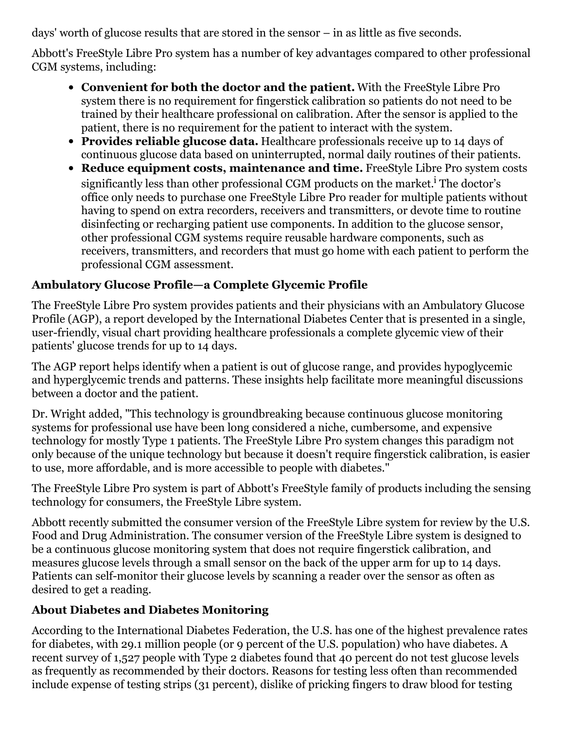days' worth of glucose results that are stored in the sensor – in as little as five seconds.

Abbott's FreeStyle Libre Pro system has a number of key advantages compared to other professional CGM systems, including:

- **Convenient for both the doctor and the patient.** With the FreeStyle Libre Pro system there is no requirement for fingerstick calibration so patients do not need to be trained by their healthcare professional on calibration. After the sensor is applied to the patient, there is no requirement for the patient to interact with the system.
- **Provides reliable glucose data.** Healthcare professionals receive up to 14 days of continuous glucose data based on uninterrupted, normal daily routines of their patients.
- **Reduce equipment costs, maintenance and time.** FreeStyle Libre Pro system costs significantly less than other professional CGM products on the market.<sup>i</sup> The doctor's office only needs to purchase one FreeStyle Libre Pro reader for multiple patients without having to spend on extra recorders, receivers and transmitters, or devote time to routine disinfecting or recharging patient use components. In addition to the glucose sensor, other professional CGM systems require reusable hardware components, such as receivers, transmitters, and recorders that must go home with each patient to perform the professional CGM assessment.

## **Ambulatory Glucose Profile—a Complete Glycemic Profile**

The FreeStyle Libre Pro system provides patients and their physicians with an Ambulatory Glucose Profile (AGP), a report developed by the International Diabetes Center that is presented in a single, user-friendly, visual chart providing healthcare professionals a complete glycemic view of their patients' glucose trends for up to 14 days.

The AGP report helps identify when a patient is out of glucose range, and provides hypoglycemic and hyperglycemic trends and patterns. These insights help facilitate more meaningful discussions between a doctor and the patient.

Dr. Wright added, "This technology is groundbreaking because continuous glucose monitoring systems for professional use have been long considered a niche, cumbersome, and expensive technology for mostly Type 1 patients. The FreeStyle Libre Pro system changes this paradigm not only because of the unique technology but because it doesn't require fingerstick calibration, is easier to use, more affordable, and is more accessible to people with diabetes."

The FreeStyle Libre Pro system is part of Abbott's FreeStyle family of products including the sensing technology for consumers, the FreeStyle Libre system.

Abbott recently submitted the consumer version of the FreeStyle Libre system for review by the U.S. Food and Drug Administration. The consumer version of the FreeStyle Libre system is designed to be a continuous glucose monitoring system that does not require fingerstick calibration, and measures glucose levels through a small sensor on the back of the upper arm for up to 14 days. Patients can self-monitor their glucose levels by scanning a reader over the sensor as often as desired to get a reading.

## **About Diabetes and Diabetes Monitoring**

According to the International Diabetes Federation, the U.S. has one of the highest prevalence rates for diabetes, with 29.1 million people (or 9 percent of the U.S. population) who have diabetes. A recent survey of 1,527 people with Type 2 diabetes found that 40 percent do not test glucose levels as frequently as recommended by their doctors. Reasons for testing less often than recommended include expense of testing strips (31 percent), dislike of pricking fingers to draw blood for testing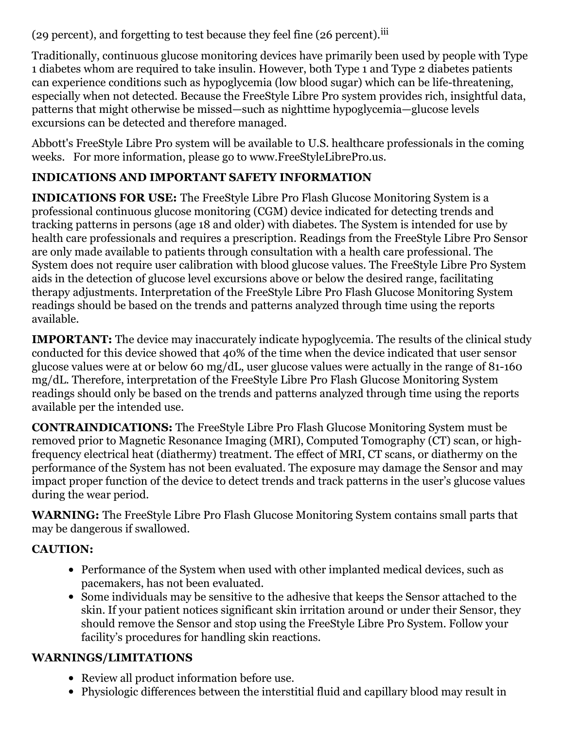(29 percent), and forgetting to test because they feel fine (26 percent).<sup>iii</sup>

Traditionally, continuous glucose monitoring devices have primarily been used by people with Type 1 diabetes whom are required to take insulin. However, both Type 1 and Type 2 diabetes patients can experience conditions such as hypoglycemia (low blood sugar) which can be life-threatening, especially when not detected. Because the FreeStyle Libre Pro system provides rich, insightful data, patterns that might otherwise be missed—such as nighttime hypoglycemia—glucose levels excursions can be detected and therefore managed.

Abbott's FreeStyle Libre Pro system will be available to U.S. healthcare professionals in the coming weeks. For more information, please go to www.FreeStyleLibrePro.us.

## **INDICATIONS AND IMPORTANT SAFETY INFORMATION**

**INDICATIONS FOR USE:** The FreeStyle Libre Pro Flash Glucose Monitoring System is a professional continuous glucose monitoring (CGM) device indicated for detecting trends and tracking patterns in persons (age 18 and older) with diabetes. The System is intended for use by health care professionals and requires a prescription. Readings from the FreeStyle Libre Pro Sensor are only made available to patients through consultation with a health care professional. The System does not require user calibration with blood glucose values. The FreeStyle Libre Pro System aids in the detection of glucose level excursions above or below the desired range, facilitating therapy adjustments. Interpretation of the FreeStyle Libre Pro Flash Glucose Monitoring System readings should be based on the trends and patterns analyzed through time using the reports available.

**IMPORTANT:** The device may inaccurately indicate hypoglycemia. The results of the clinical study conducted for this device showed that 40% of the time when the device indicated that user sensor glucose values were at or below 60 mg/dL, user glucose values were actually in the range of 81-160 mg/dL. Therefore, interpretation of the FreeStyle Libre Pro Flash Glucose Monitoring System readings should only be based on the trends and patterns analyzed through time using the reports available per the intended use.

**CONTRAINDICATIONS:** The FreeStyle Libre Pro Flash Glucose Monitoring System must be removed prior to Magnetic Resonance Imaging (MRI), Computed Tomography (CT) scan, or highfrequency electrical heat (diathermy) treatment. The effect of MRI, CT scans, or diathermy on the performance of the System has not been evaluated. The exposure may damage the Sensor and may impact proper function of the device to detect trends and track patterns in the user's glucose values during the wear period.

**WARNING:** The FreeStyle Libre Pro Flash Glucose Monitoring System contains small parts that may be dangerous if swallowed.

## **CAUTION:**

- Performance of the System when used with other implanted medical devices, such as pacemakers, has not been evaluated.
- Some individuals may be sensitive to the adhesive that keeps the Sensor attached to the skin. If your patient notices significant skin irritation around or under their Sensor, they should remove the Sensor and stop using the FreeStyle Libre Pro System. Follow your facility's procedures for handling skin reactions.

## **WARNINGS/LIMITATIONS**

- Review all product information before use.
- Physiologic differences between the interstitial fluid and capillary blood may result in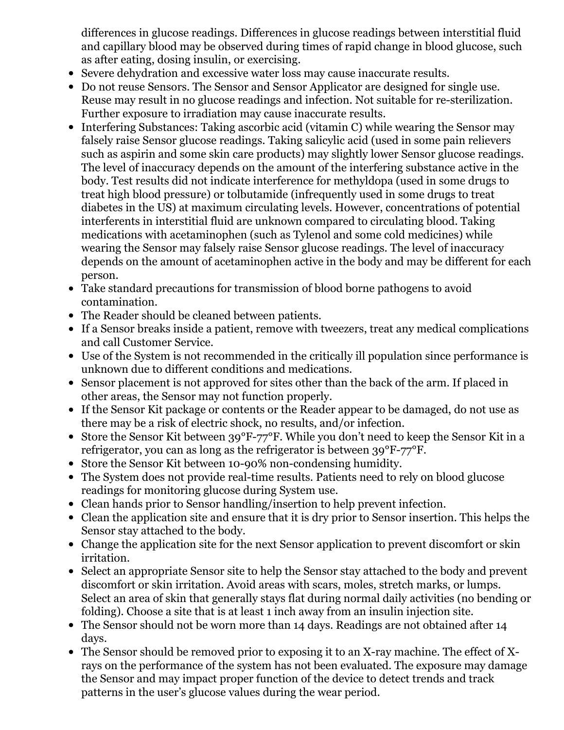differences in glucose readings. Differences in glucose readings between interstitial fluid and capillary blood may be observed during times of rapid change in blood glucose, such as after eating, dosing insulin, or exercising.

- Severe dehydration and excessive water loss may cause inaccurate results.
- Do not reuse Sensors. The Sensor and Sensor Applicator are designed for single use. Reuse may result in no glucose readings and infection. Not suitable for re-sterilization. Further exposure to irradiation may cause inaccurate results.
- Interfering Substances: Taking ascorbic acid (vitamin C) while wearing the Sensor may falsely raise Sensor glucose readings. Taking salicylic acid (used in some pain relievers such as aspirin and some skin care products) may slightly lower Sensor glucose readings. The level of inaccuracy depends on the amount of the interfering substance active in the body. Test results did not indicate interference for methyldopa (used in some drugs to treat high blood pressure) or tolbutamide (infrequently used in some drugs to treat diabetes in the US) at maximum circulating levels. However, concentrations of potential interferents in interstitial fluid are unknown compared to circulating blood. Taking medications with acetaminophen (such as Tylenol and some cold medicines) while wearing the Sensor may falsely raise Sensor glucose readings. The level of inaccuracy depends on the amount of acetaminophen active in the body and may be different for each person.
- Take standard precautions for transmission of blood borne pathogens to avoid contamination.
- The Reader should be cleaned between patients.
- If a Sensor breaks inside a patient, remove with tweezers, treat any medical complications and call Customer Service.
- Use of the System is not recommended in the critically ill population since performance is unknown due to different conditions and medications.
- Sensor placement is not approved for sites other than the back of the arm. If placed in other areas, the Sensor may not function properly.
- If the Sensor Kit package or contents or the Reader appear to be damaged, do not use as there may be a risk of electric shock, no results, and/or infection.
- Store the Sensor Kit between 39°F-77°F. While you don't need to keep the Sensor Kit in a refrigerator, you can as long as the refrigerator is between 39°F-77°F.
- Store the Sensor Kit between 10-90% non-condensing humidity.
- The System does not provide real-time results. Patients need to rely on blood glucose readings for monitoring glucose during System use.
- Clean hands prior to Sensor handling/insertion to help prevent infection.
- Clean the application site and ensure that it is dry prior to Sensor insertion. This helps the Sensor stay attached to the body.
- Change the application site for the next Sensor application to prevent discomfort or skin irritation.
- Select an appropriate Sensor site to help the Sensor stay attached to the body and prevent discomfort or skin irritation. Avoid areas with scars, moles, stretch marks, or lumps. Select an area of skin that generally stays flat during normal daily activities (no bending or folding). Choose a site that is at least 1 inch away from an insulin injection site.
- The Sensor should not be worn more than 14 days. Readings are not obtained after 14 days.
- The Sensor should be removed prior to exposing it to an X-ray machine. The effect of Xrays on the performance of the system has not been evaluated. The exposure may damage the Sensor and may impact proper function of the device to detect trends and track patterns in the user's glucose values during the wear period.